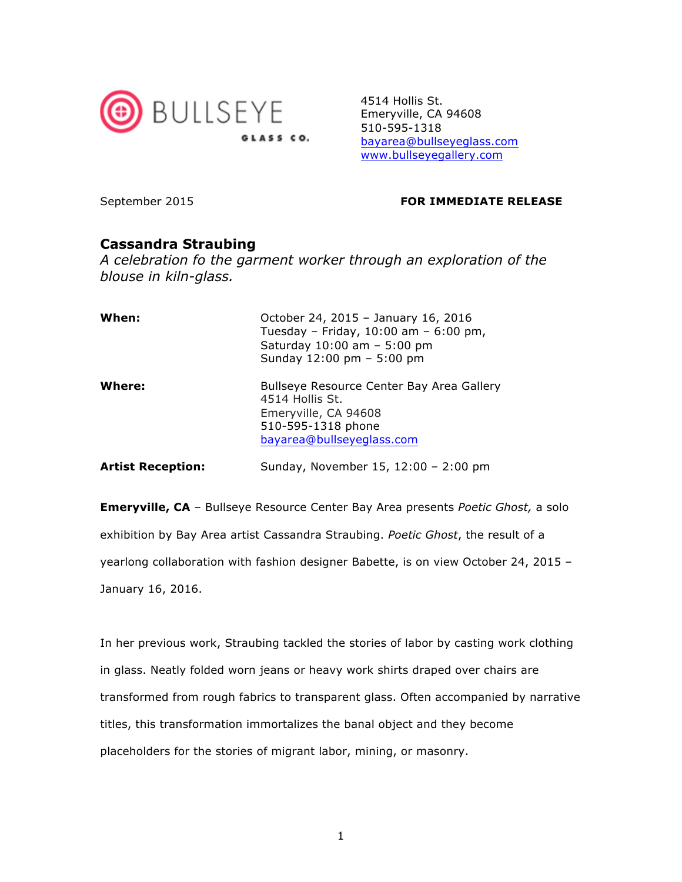

4514 Hollis St. Emeryville, CA 94608 510-595-1318 bayarea@bullseyeglass.com www.bullseyegallery.com

## September 2015 **FOR IMMEDIATE RELEASE**

## **Cassandra Straubing**

*A celebration fo the garment worker through an exploration of the blouse in kiln-glass.*

| When:                    | October 24, 2015 - January 16, 2016<br>Tuesday - Friday, $10:00$ am - 6:00 pm,<br>Saturday $10:00$ am $-5:00$ pm<br>Sunday 12:00 pm - 5:00 pm |
|--------------------------|-----------------------------------------------------------------------------------------------------------------------------------------------|
| Where:                   | Bullseye Resource Center Bay Area Gallery<br>4514 Hollis St.<br>Emeryville, CA 94608<br>510-595-1318 phone<br>bayarea@bullseyeglass.com       |
| <b>Artist Reception:</b> | Sunday, November 15, 12:00 - 2:00 pm                                                                                                          |

**Emeryville, CA** – Bullseye Resource Center Bay Area presents *Poetic Ghost,* a solo exhibition by Bay Area artist Cassandra Straubing. *Poetic Ghost*, the result of a yearlong collaboration with fashion designer Babette, is on view October 24, 2015 – January 16, 2016.

In her previous work, Straubing tackled the stories of labor by casting work clothing in glass. Neatly folded worn jeans or heavy work shirts draped over chairs are transformed from rough fabrics to transparent glass. Often accompanied by narrative titles, this transformation immortalizes the banal object and they become placeholders for the stories of migrant labor, mining, or masonry.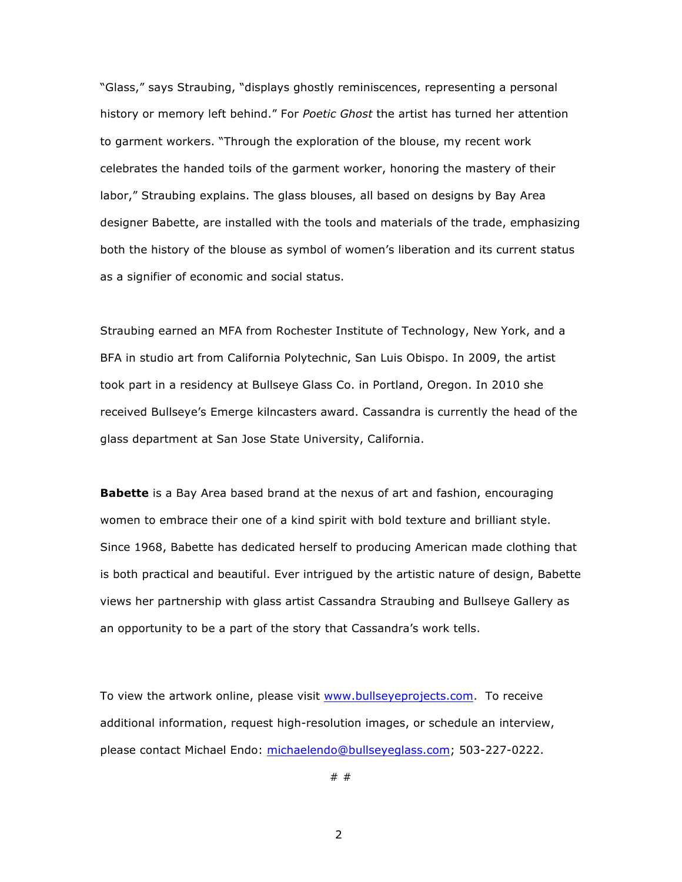"Glass," says Straubing, "displays ghostly reminiscences, representing a personal history or memory left behind." For *Poetic Ghost* the artist has turned her attention to garment workers. "Through the exploration of the blouse, my recent work celebrates the handed toils of the garment worker, honoring the mastery of their labor," Straubing explains. The glass blouses, all based on designs by Bay Area designer Babette, are installed with the tools and materials of the trade, emphasizing both the history of the blouse as symbol of women's liberation and its current status as a signifier of economic and social status.

Straubing earned an MFA from Rochester Institute of Technology, New York, and a BFA in studio art from California Polytechnic, San Luis Obispo. In 2009, the artist took part in a residency at Bullseye Glass Co. in Portland, Oregon. In 2010 she received Bullseye's Emerge kilncasters award. Cassandra is currently the head of the glass department at San Jose State University, California.

**Babette** is a Bay Area based brand at the nexus of art and fashion, encouraging women to embrace their one of a kind spirit with bold texture and brilliant style. Since 1968, Babette has dedicated herself to producing American made clothing that is both practical and beautiful. Ever intrigued by the artistic nature of design, Babette views her partnership with glass artist Cassandra Straubing and Bullseye Gallery as an opportunity to be a part of the story that Cassandra's work tells.

To view the artwork online, please visit www.bullseyeprojects.com. To receive additional information, request high-resolution images, or schedule an interview, please contact Michael Endo: michaelendo@bullseyeglass.com; 503-227-0222.

# #

2